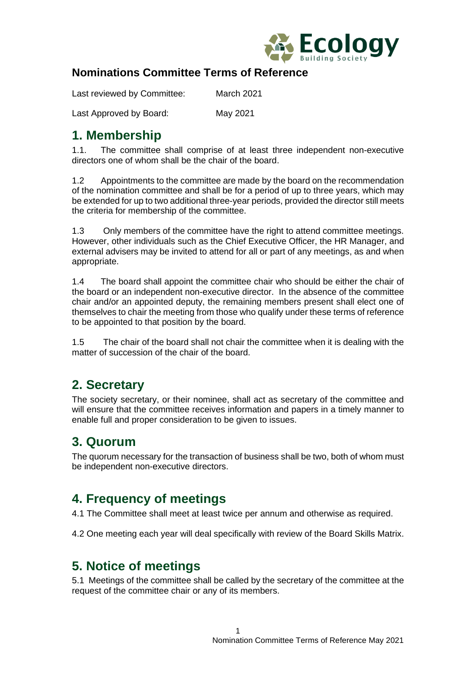

#### **Nominations Committee Terms of Reference**

Last reviewed by Committee: March 2021

Last Approved by Board: May 2021

### **1. Membership**

1.1. The committee shall comprise of at least three independent non-executive directors one of whom shall be the chair of the board.

1.2 Appointments to the committee are made by the board on the recommendation of the nomination committee and shall be for a period of up to three years, which may be extended for up to two additional three-year periods, provided the director still meets the criteria for membership of the committee.

1.3 Only members of the committee have the right to attend committee meetings. However, other individuals such as the Chief Executive Officer, the HR Manager, and external advisers may be invited to attend for all or part of any meetings, as and when appropriate.

1.4 The board shall appoint the committee chair who should be either the chair of the board or an independent non-executive director. In the absence of the committee chair and/or an appointed deputy, the remaining members present shall elect one of themselves to chair the meeting from those who qualify under these terms of reference to be appointed to that position by the board.

1.5 The chair of the board shall not chair the committee when it is dealing with the matter of succession of the chair of the board.

### **2. Secretary**

The society secretary, or their nominee, shall act as secretary of the committee and will ensure that the committee receives information and papers in a timely manner to enable full and proper consideration to be given to issues.

### **3. Quorum**

The quorum necessary for the transaction of business shall be two, both of whom must be independent non-executive directors.

# **4. Frequency of meetings**

4.1 The Committee shall meet at least twice per annum and otherwise as required.

4.2 One meeting each year will deal specifically with review of the Board Skills Matrix.

#### **5. Notice of meetings**

5.1 Meetings of the committee shall be called by the secretary of the committee at the request of the committee chair or any of its members.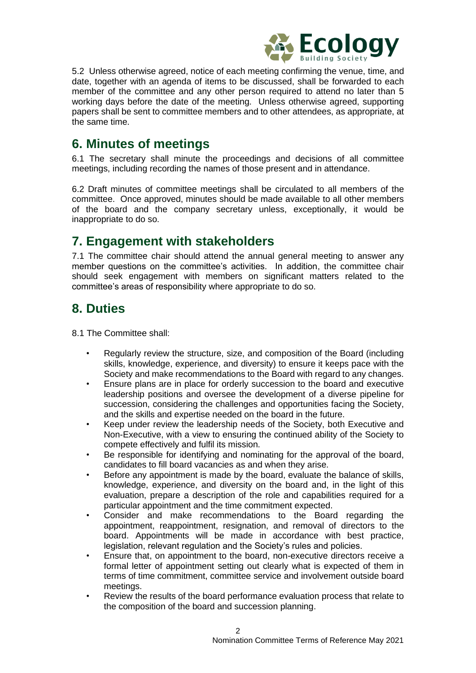

5.2 Unless otherwise agreed, notice of each meeting confirming the venue, time, and date, together with an agenda of items to be discussed, shall be forwarded to each member of the committee and any other person required to attend no later than 5 working days before the date of the meeting. Unless otherwise agreed, supporting papers shall be sent to committee members and to other attendees, as appropriate, at the same time.

### **6. Minutes of meetings**

6.1 The secretary shall minute the proceedings and decisions of all committee meetings, including recording the names of those present and in attendance.

6.2 Draft minutes of committee meetings shall be circulated to all members of the committee. Once approved, minutes should be made available to all other members of the board and the company secretary unless, exceptionally, it would be inappropriate to do so.

## **7. Engagement with stakeholders**

7.1 The committee chair should attend the annual general meeting to answer any member questions on the committee's activities. In addition, the committee chair should seek engagement with members on significant matters related to the committee's areas of responsibility where appropriate to do so.

# **8. Duties**

8.1 The Committee shall:

- Regularly review the structure, size, and composition of the Board (including skills, knowledge, experience, and diversity) to ensure it keeps pace with the Society and make recommendations to the Board with regard to any changes.
- Ensure plans are in place for orderly succession to the board and executive leadership positions and oversee the development of a diverse pipeline for succession, considering the challenges and opportunities facing the Society, and the skills and expertise needed on the board in the future.
- Keep under review the leadership needs of the Society, both Executive and Non-Executive, with a view to ensuring the continued ability of the Society to compete effectively and fulfil its mission.
- Be responsible for identifying and nominating for the approval of the board, candidates to fill board vacancies as and when they arise.
- Before any appointment is made by the board, evaluate the balance of skills, knowledge, experience, and diversity on the board and, in the light of this evaluation, prepare a description of the role and capabilities required for a particular appointment and the time commitment expected.
- Consider and make recommendations to the Board regarding the appointment, reappointment, resignation, and removal of directors to the board. Appointments will be made in accordance with best practice, legislation, relevant regulation and the Society's rules and policies.
- Ensure that, on appointment to the board, non-executive directors receive a formal letter of appointment setting out clearly what is expected of them in terms of time commitment, committee service and involvement outside board meetings.
- Review the results of the board performance evaluation process that relate to the composition of the board and succession planning.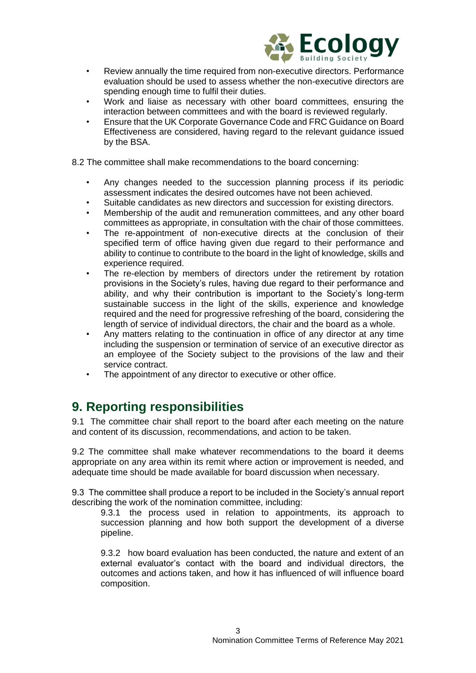

- Review annually the time required from non-executive directors. Performance evaluation should be used to assess whether the non-executive directors are spending enough time to fulfil their duties.
- Work and liaise as necessary with other board committees, ensuring the interaction between committees and with the board is reviewed regularly.
- Ensure that the UK Corporate Governance Code and FRC Guidance on Board Effectiveness are considered, having regard to the relevant guidance issued by the BSA.
- 8.2 The committee shall make recommendations to the board concerning:
	- Any changes needed to the succession planning process if its periodic assessment indicates the desired outcomes have not been achieved.
	- Suitable candidates as new directors and succession for existing directors.
	- Membership of the audit and remuneration committees, and any other board committees as appropriate, in consultation with the chair of those committees.
	- The re-appointment of non-executive directs at the conclusion of their specified term of office having given due regard to their performance and ability to continue to contribute to the board in the light of knowledge, skills and experience required.
	- The re-election by members of directors under the retirement by rotation provisions in the Society's rules, having due regard to their performance and ability, and why their contribution is important to the Society's long-term sustainable success in the light of the skills, experience and knowledge required and the need for progressive refreshing of the board, considering the length of service of individual directors, the chair and the board as a whole.
	- Any matters relating to the continuation in office of any director at any time including the suspension or termination of service of an executive director as an employee of the Society subject to the provisions of the law and their service contract.
	- The appointment of any director to executive or other office.

#### **9. Reporting responsibilities**

9.1 The committee chair shall report to the board after each meeting on the nature and content of its discussion, recommendations, and action to be taken.

9.2 The committee shall make whatever recommendations to the board it deems appropriate on any area within its remit where action or improvement is needed, and adequate time should be made available for board discussion when necessary.

9.3 The committee shall produce a report to be included in the Society's annual report describing the work of the nomination committee, including:

9.3.1 the process used in relation to appointments, its approach to succession planning and how both support the development of a diverse pipeline.

9.3.2 how board evaluation has been conducted, the nature and extent of an external evaluator's contact with the board and individual directors, the outcomes and actions taken, and how it has influenced of will influence board composition.